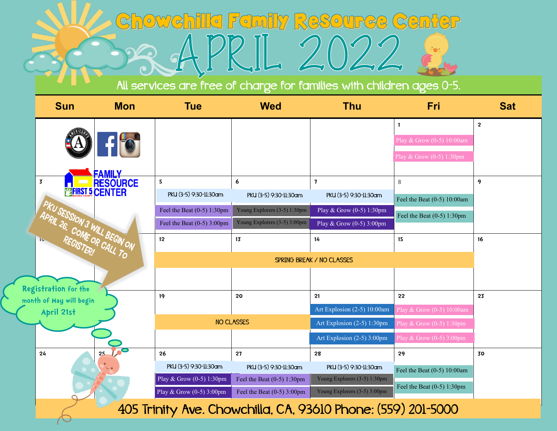## Chowchilla Family Resource Center  $\bigcirc$

All services are free of charge for families with children ages 0-5.

|  | <b>Sun</b>                                                   | <b>Mon</b>                       | <b>Tue</b>                                         | <b>Wed</b>                                             | <b>Thu</b>                                             | Fri                           | <b>Sat</b>              |  |  |
|--|--------------------------------------------------------------|----------------------------------|----------------------------------------------------|--------------------------------------------------------|--------------------------------------------------------|-------------------------------|-------------------------|--|--|
|  |                                                              |                                  |                                                    |                                                        |                                                        | $\mathbf{1}$                  | $\overline{\mathbf{2}}$ |  |  |
|  |                                                              |                                  |                                                    |                                                        |                                                        | Play & Grow (0-5) 10:00am     |                         |  |  |
|  |                                                              |                                  |                                                    |                                                        |                                                        | Play & Grow $(0-5)$ 1:30pm    |                         |  |  |
|  | $\overline{\mathbf{3}}$                                      | <b>FAMILY</b><br><b>RESOURCE</b> | 5                                                  | 6                                                      | $\mathbf{7}$                                           | 8                             | 9                       |  |  |
|  | <b>MERSI 5 CENTER</b><br>PKU SESSION 3 WILL BEGIN ON         |                                  | PKU (3-5) 9:30-11:30am                             | PKU (3-5) 9:30-11:30am                                 | PKU (3-5) 9:30-11:30am                                 | Feel the Beat $(0-5)$ 10:00am |                         |  |  |
|  |                                                              |                                  | Feel the Beat $(0-5)$ 1:30pm                       | Young Explorers (3-5) 1:30pm                           | Play & Grow $\overline{(0-5)}$ 1:30pm                  | Feel the Beat $(0-5)$ 1:30pm  |                         |  |  |
|  |                                                              |                                  | Feel the Beat $(0-5)$ 3:00pm                       | Young Explorers (3-5) 3:00pm                           | Play & Grow (0-5) 3:00pm                               |                               |                         |  |  |
|  |                                                              |                                  | 12 <sup>2</sup>                                    | 13                                                     | 14                                                     | 15                            | 16                      |  |  |
|  |                                                              |                                  |                                                    |                                                        |                                                        |                               |                         |  |  |
|  |                                                              |                                  |                                                    |                                                        |                                                        |                               |                         |  |  |
|  | Registration for the<br>month of May will begin              |                                  | 19                                                 | 20                                                     | 21                                                     | 22                            | 23                      |  |  |
|  | April 21st                                                   |                                  |                                                    |                                                        | Art Explosion (2-5) 10:00am                            | Play & Grow (0-5) 10:00am     |                         |  |  |
|  |                                                              | <b>NO CLASSES</b>                |                                                    | Art Explosion (2-5) 1:30pm                             | Play & Grow $(0-5)$ 1:30pm                             |                               |                         |  |  |
|  |                                                              |                                  |                                                    |                                                        | Art Explosion (2-5) 3:00pm                             | Play & Grow $(0-5)$ 3:00pm    |                         |  |  |
|  | 24                                                           | 25                               | 26                                                 | 27                                                     | 28                                                     | 29                            | 30                      |  |  |
|  | $\cup$                                                       |                                  | PKU (3-5) 9:30-11:30am<br>Play & Grow (0-5) 1:30pm | PKU (3-5) 9:30-11:30am<br>Feel the Beat $(0-5)$ 1:30pm | PKU (3-5) 9:30-11:30am<br>Young Explorers (3-5) 1:30pm | Feel the Beat (0-5) 10:00am   |                         |  |  |
|  |                                                              |                                  | Play & Grow (0-5) 3:00pm                           | Feel the Beat $(0-5)$ 3:00pm                           | Young Explorers (3-5) 3:00pm                           | Feel the Beat $(0-5)$ 1:30pm  |                         |  |  |
|  | 405 Trinity Ave. Chowchilla, CA, 93610 Phone: (559) 201-5000 |                                  |                                                    |                                                        |                                                        |                               |                         |  |  |